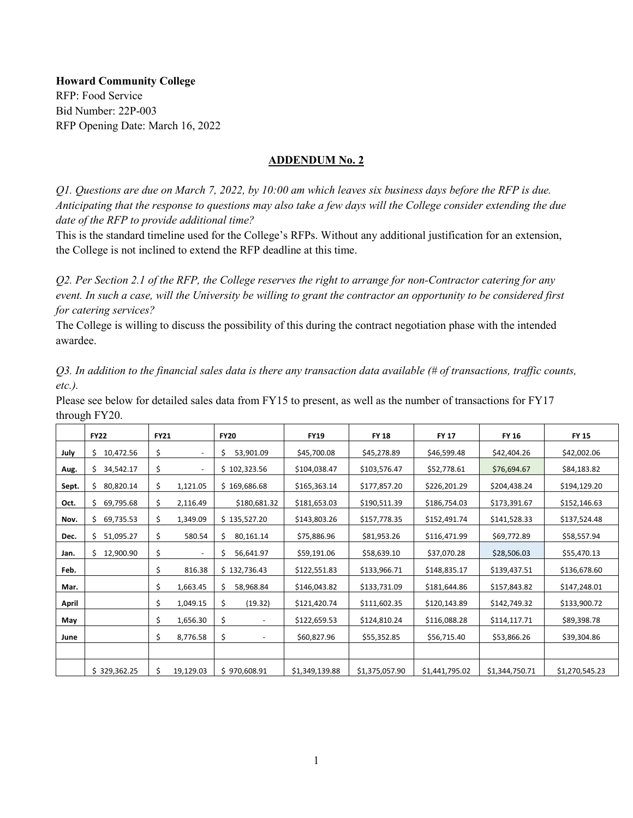**Howard Community College**  RFP: Food Service Bid Number: 22P-003 RFP Opening Date: March 16, 2022

## **ADDENDUM No. 2**

*Q1. Questions are due on March 7, 2022, by 10:00 am which leaves six business days before the RFP is due. Anticipating that the response to questions may also take a few days will the College consider extending the due date of the RFP to provide additional time?*

This is the standard timeline used for the College's RFPs. Without any additional justification for an extension, the College is not inclined to extend the RFP deadline at this time.

*Q2. Per Section 2.1 of the RFP, the College reserves the right to arrange for non-Contractor catering for any event. In such a case, will the University be willing to grant the contractor an opportunity to be considered first for catering services?*

The College is willing to discuss the possibility of this during the contract negotiation phase with the intended awardee.

*Q3. In addition to the financial sales data is there any transaction data available (# of transactions, traffic counts, etc.).*

Please see below for detailed sales data from FY15 to present, as well as the number of transactions for FY17 through FY20.

|       | <b>FY22</b>      | <b>FY21</b> |                          | <b>FY20</b>     | <b>FY19</b>    | <b>FY 18</b>   | <b>FY 17</b>   | <b>FY 16</b>   | <b>FY 15</b>   |
|-------|------------------|-------------|--------------------------|-----------------|----------------|----------------|----------------|----------------|----------------|
| July  | 10,472.56<br>\$. | \$          | $\overline{\phantom{a}}$ | \$<br>53,901.09 | \$45,700.08    | \$45,278.89    | \$46,599.48    | \$42,404.26    | \$42,002.06    |
| Aug.  | 34,542.17<br>S.  | \$          | ٠                        | \$102,323.56    | \$104,038.47   | \$103,576.47   | \$52,778.61    | \$76,694.67    | \$84,183.82    |
| Sept. | \$.<br>80,820.14 | \$          | 1,121.05                 | \$169,686.68    | \$165,363.14   | \$177,857.20   | \$226,201.29   | \$204,438.24   | \$194,129.20   |
| Oct.  | \$.<br>69,795.68 | \$          | 2,116.49                 | \$180,681.32    | \$181,653.03   | \$190,511.39   | \$186,754.03   | \$173,391.67   | \$152,146.63   |
| Nov.  | 69,735.53<br>\$. | \$          | 1,349.09                 | \$135,527.20    | \$143,803.26   | \$157,778.35   | \$152,491.74   | \$141,528.33   | \$137,524.48   |
| Dec.  | 51,095.27<br>S.  | \$          | 580.54                   | \$<br>80,161.14 | \$75,886.96    | \$81,953.26    | \$116,471.99   | \$69,772.89    | \$58,557.94    |
| Jan.  | 12,900.90<br>Ś.  | \$          | $\overline{\phantom{a}}$ | \$<br>56,641.97 | \$59,191.06    | \$58,639.10    | \$37,070.28    | \$28,506.03    | \$55,470.13    |
| Feb.  |                  | \$          | 816.38                   | \$132,736.43    | \$122,551.83   | \$133,966.71   | \$148,835.17   | \$139,437.51   | \$136,678.60   |
| Mar.  |                  | \$          | 1,663.45                 | \$<br>58,968.84 | \$146,043.82   | \$133,731.09   | \$181,644.86   | \$157,843.82   | \$147,248.01   |
| April |                  | \$          | 1,049.15                 | \$<br>(19.32)   | \$121,420.74   | \$111,602.35   | \$120,143.89   | \$142,749.32   | \$133,900.72   |
| May   |                  | \$          | 1,656.30                 | \$              | \$122,659.53   | \$124,810.24   | \$116,088.28   | \$114,117.71   | \$89,398.78    |
| June  |                  | \$          | 8,776.58                 | \$              | \$60,827.96    | \$55,352.85    | \$56,715.40    | \$53,866.26    | \$39,304.86    |
|       |                  |             |                          |                 |                |                |                |                |                |
|       | \$329,362.25     | \$          | 19,129.03                | \$970,608.91    | \$1,349,139.88 | \$1,375,057.90 | \$1,441,795.02 | \$1,344,750.71 | \$1,270,545.23 |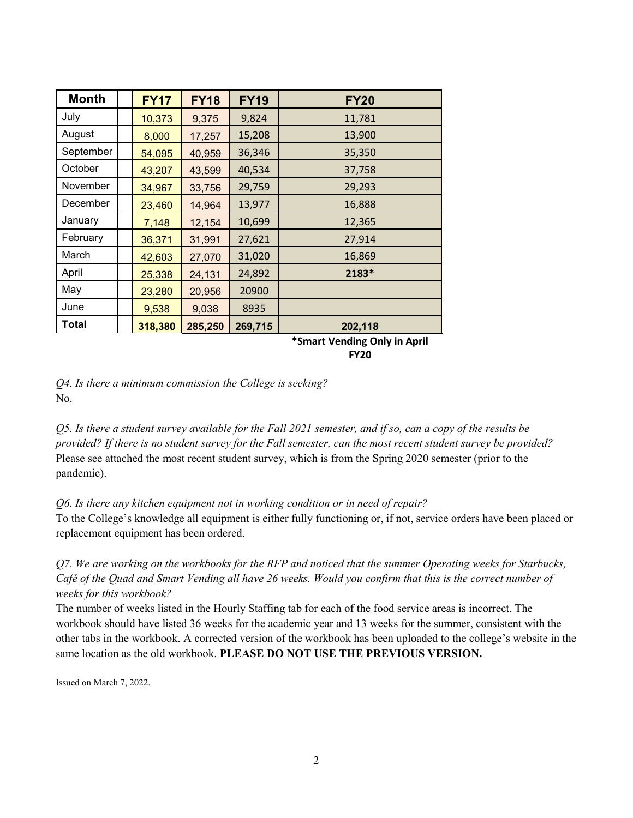| <b>Month</b> | <b>FY17</b> | <b>FY18</b> | <b>FY19</b> | <b>FY20</b> |
|--------------|-------------|-------------|-------------|-------------|
| July         | 10,373      | 9,375       | 9,824       | 11,781      |
| August       | 8,000       | 17,257      | 15,208      | 13,900      |
| September    | 54,095      | 40,959      | 36,346      | 35,350      |
| October      | 43,207      | 43,599      | 40,534      | 37,758      |
| November     | 34,967      | 33,756      | 29,759      | 29,293      |
| December     | 23,460      | 14,964      | 13,977      | 16,888      |
| January      | 7,148       | 12,154      | 10,699      | 12,365      |
| February     | 36,371      | 31,991      | 27,621      | 27,914      |
| March        | 42,603      | 27,070      | 31,020      | 16,869      |
| April        | 25,338      | 24,131      | 24,892      | 2183*       |
| May          | 23,280      | 20,956      | 20900       |             |
| June         | 9,538       | 9,038       | 8935        |             |
| Total        | 318,380     | 285,250     | 269,715     | 202,118     |

**\*Smart Vending Only in April FY20**

*Q4. Is there a minimum commission the College is seeking?* No.

*Q5. Is there a student survey available for the Fall 2021 semester, and if so, can a copy of the results be provided? If there is no student survey for the Fall semester, can the most recent student survey be provided?* Please see attached the most recent student survey, which is from the Spring 2020 semester (prior to the pandemic).

## *Q6. Is there any kitchen equipment not in working condition or in need of repair?*

To the College's knowledge all equipment is either fully functioning or, if not, service orders have been placed or replacement equipment has been ordered.

*Q7. We are working on the workbooks for the RFP and noticed that the summer Operating weeks for Starbucks, Café of the Quad and Smart Vending all have 26 weeks. Would you confirm that this is the correct number of weeks for this workbook?*

The number of weeks listed in the Hourly Staffing tab for each of the food service areas is incorrect. The workbook should have listed 36 weeks for the academic year and 13 weeks for the summer, consistent with the other tabs in the workbook. A corrected version of the workbook has been uploaded to the college's website in the same location as the old workbook. **PLEASE DO NOT USE THE PREVIOUS VERSION.**

Issued on March 7, 2022.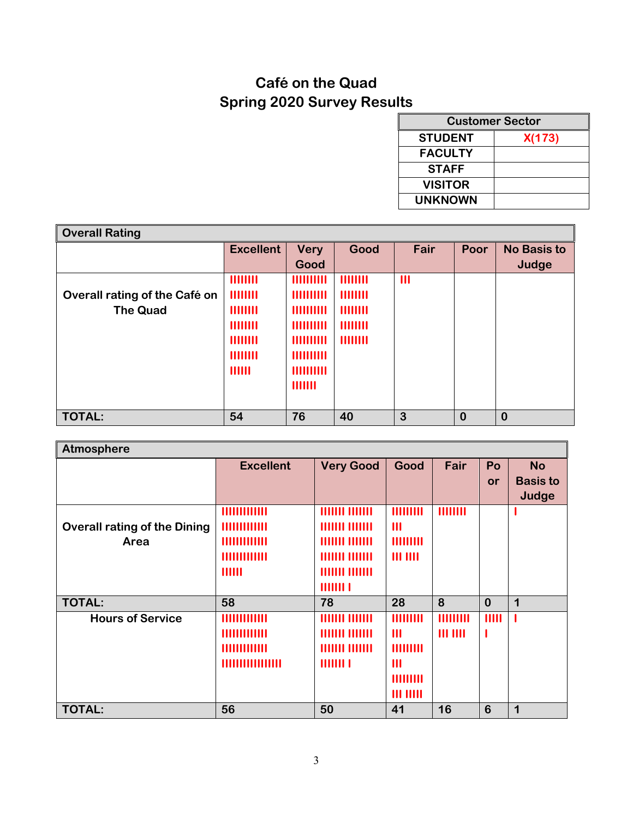## **Café on the Quad Spring 2020 Survey Results**

| <b>Customer Sector</b> |        |  |  |  |  |  |
|------------------------|--------|--|--|--|--|--|
| <b>STUDENT</b>         | X(173) |  |  |  |  |  |
| <b>FACULTY</b>         |        |  |  |  |  |  |
| <b>STAFF</b>           |        |  |  |  |  |  |
| <b>VISITOR</b>         |        |  |  |  |  |  |
| <b>UNKNOWN</b>         |        |  |  |  |  |  |

| <b>Overall Rating</b>         |                  |                  |                |              |          |                    |  |  |
|-------------------------------|------------------|------------------|----------------|--------------|----------|--------------------|--|--|
|                               | <b>Excellent</b> | <b>Very</b>      | Good           | Fair         | Poor     | <b>No Basis to</b> |  |  |
|                               |                  | Good             |                |              |          | Judge              |  |  |
|                               | <b>HIIIIII</b>   | 1111111111       | 11111111       | $\mathbf{m}$ |          |                    |  |  |
| Overall rating of the Café on | <b>HIIIIII</b>   | <b>HIIIIIIII</b> | <b>HIIIIII</b> |              |          |                    |  |  |
| <b>The Quad</b>               | <b>HIIIIII</b>   | 1111111111       | 11111111       |              |          |                    |  |  |
|                               | <b>HIIIIII</b>   | 1111111111       | <b>HIIIIII</b> |              |          |                    |  |  |
|                               | <b>HIIIIII</b>   | <b>HIIIIIIII</b> | <b>HIIIIII</b> |              |          |                    |  |  |
|                               | <b>HIIIIII</b>   | 1111111111       |                |              |          |                    |  |  |
|                               | THILL            | 1111111111       |                |              |          |                    |  |  |
|                               |                  | 1111111          |                |              |          |                    |  |  |
|                               |                  |                  |                |              |          |                    |  |  |
| <b>TOTAL:</b>                 | 54               | 76               | 40             | 3            | $\bf{0}$ | $\bf{0}$           |  |  |

| <b>Atmosphere</b>                   |                       |                  |                 |                 |           |                 |  |  |  |
|-------------------------------------|-----------------------|------------------|-----------------|-----------------|-----------|-----------------|--|--|--|
|                                     | <b>Excellent</b>      | <b>Very Good</b> | Good            | Fair            | Po        | <b>No</b>       |  |  |  |
|                                     |                       |                  |                 |                 | <b>or</b> | <b>Basis to</b> |  |  |  |
|                                     |                       |                  |                 |                 |           | Judge           |  |  |  |
|                                     | 111111111111          |                  | HIIIIIII        | 11111111        |           |                 |  |  |  |
| <b>Overall rating of the Dining</b> | <b><i>HHHHHHH</i></b> |                  | $\mathbf{m}$    |                 |           |                 |  |  |  |
| Area                                | HIIIIIIIIIII          |                  | HIIIIIII        |                 |           |                 |  |  |  |
|                                     | 1111111111111         | 111111 1111111   | $III$ $III$     |                 |           |                 |  |  |  |
|                                     | 111111                | 111111 1111111   |                 |                 |           |                 |  |  |  |
|                                     |                       | 11111111         |                 |                 |           |                 |  |  |  |
| <b>TOTAL:</b>                       | 58                    | 78               | 28              | 8               | $\bf{0}$  | 1               |  |  |  |
| <b>Hours of Service</b>             | 1111111111111         | 111111 1111111   | <b>HIIIIIII</b> | <b>HIIIIIII</b> | IIIII     |                 |  |  |  |
|                                     | 1111111111111         |                  | $\mathbf{m}$    | $III$ $III$     |           |                 |  |  |  |
|                                     | 1111111111111         | 111111 1111111   | <b>HIIIIIII</b> |                 |           |                 |  |  |  |
|                                     |                       | 11111111         | $\mathbf{III}$  |                 |           |                 |  |  |  |
|                                     |                       |                  | <b>HIIIIIII</b> |                 |           |                 |  |  |  |
|                                     |                       |                  | $III$ $III$     |                 |           |                 |  |  |  |
| <b>TOTAL:</b>                       | 56                    | 50               | 41              | 16              | 6         | 1               |  |  |  |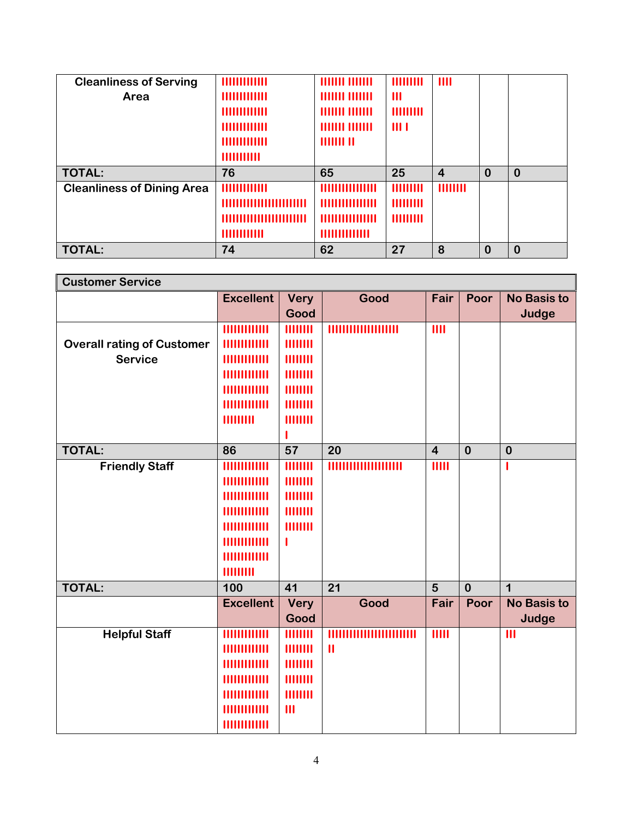| <b>Cleanliness of Serving</b>     | 111111111111        | 111111 1111111 | <b>HIIIIIII</b> | III            |          |          |
|-----------------------------------|---------------------|----------------|-----------------|----------------|----------|----------|
| Area                              | 1111111111111       | 111111 1111111 | $\mathbf{III}$  |                |          |          |
|                                   | HIIIIIIIIIIII       | 111111 1111111 | <b>HIIIIIII</b> |                |          |          |
|                                   | HIIIIIIIIIII        | 111111 1111111 | $\mathbf{m}$    |                |          |          |
|                                   | HIIIIIIIIIIIIIII    | 11111111111    |                 |                |          |          |
|                                   | 111111111111        |                |                 |                |          |          |
|                                   |                     |                |                 |                |          |          |
| <b>TOTAL:</b>                     | 76                  | 65             | 25              | $\overline{4}$ | $\bf{0}$ | $\bf{0}$ |
| <b>Cleanliness of Dining Area</b> | <b>HIIIIIIIIIII</b> |                | <b>HIIIIIII</b> | <b>HIIIIII</b> |          |          |
|                                   |                     |                | <b>HIIIIIII</b> |                |          |          |
|                                   |                     |                | <b>HIIIIIII</b> |                |          |          |
|                                   | 111111111111        |                |                 |                |          |          |

| <b>Customer Service</b>           |                             |                 |                 |                         |          |                    |  |  |
|-----------------------------------|-----------------------------|-----------------|-----------------|-------------------------|----------|--------------------|--|--|
|                                   | <b>Excellent</b>            | <b>Very</b>     | Good            | Fair                    | Poor     | <b>No Basis to</b> |  |  |
|                                   |                             | Good            |                 |                         |          | Judge              |  |  |
|                                   | <b><i>HIIIIIIIIIIII</i></b> | 11111111        |                 | III                     |          |                    |  |  |
| <b>Overall rating of Customer</b> | <b>MUHIMI</b>               | HIIIIII         |                 |                         |          |                    |  |  |
| <b>Service</b>                    | 111111111111                | 11111111        |                 |                         |          |                    |  |  |
|                                   | 1111111111111               | HIIIIII         |                 |                         |          |                    |  |  |
|                                   | 1111111111111               | 11111111        |                 |                         |          |                    |  |  |
|                                   | 1111111111111               | 11111111        |                 |                         |          |                    |  |  |
|                                   | HIHHHI                      | 11111111        |                 |                         |          |                    |  |  |
|                                   |                             |                 |                 |                         |          |                    |  |  |
| <b>TOTAL:</b>                     | 86                          | $\overline{57}$ | 20              | $\overline{\mathbf{4}}$ | $\bf{0}$ | $\bf{0}$           |  |  |
| <b>Friendly Staff</b>             | <b><i>HIIIIIIIIIIII</i></b> | 11111111        |                 | IIIII                   |          |                    |  |  |
|                                   | 1111111111111               | 11111111        |                 |                         |          |                    |  |  |
|                                   | 1111111111111               | 11111111        |                 |                         |          |                    |  |  |
|                                   | 111111111111                | <b>HIIIIII</b>  |                 |                         |          |                    |  |  |
|                                   | 1111111111111               | 11111111        |                 |                         |          |                    |  |  |
|                                   | 1111111111111               | п               |                 |                         |          |                    |  |  |
|                                   | 1111111111111               |                 |                 |                         |          |                    |  |  |
|                                   | HIIIIIII                    |                 |                 |                         |          |                    |  |  |
| <b>TOTAL:</b>                     | 100                         | 41              | $\overline{21}$ | 5                       | $\bf{0}$ | $\overline{1}$     |  |  |
|                                   | <b>Excellent</b>            | <b>Very</b>     | Good            | Fair                    | Poor     | <b>No Basis to</b> |  |  |
|                                   |                             | Good            |                 |                         |          | Judge              |  |  |
| <b>Helpful Staff</b>              | <b><i>HIIIIIIIIIIII</i></b> | HIIIIII         |                 | $\overline{11111}$      |          | III                |  |  |
|                                   | 1111111111111               | <b>HIIIIII</b>  | $\mathbf{II}$   |                         |          |                    |  |  |
|                                   | 1111111111111               | 11111111        |                 |                         |          |                    |  |  |
|                                   | 1111111111111               | 11111111        |                 |                         |          |                    |  |  |
|                                   | 1111111111111               | 11111111        |                 |                         |          |                    |  |  |
|                                   | 1111111111111               | $\mathbf{III}$  |                 |                         |          |                    |  |  |
|                                   | <b><i>HHHHHHH</i></b>       |                 |                 |                         |          |                    |  |  |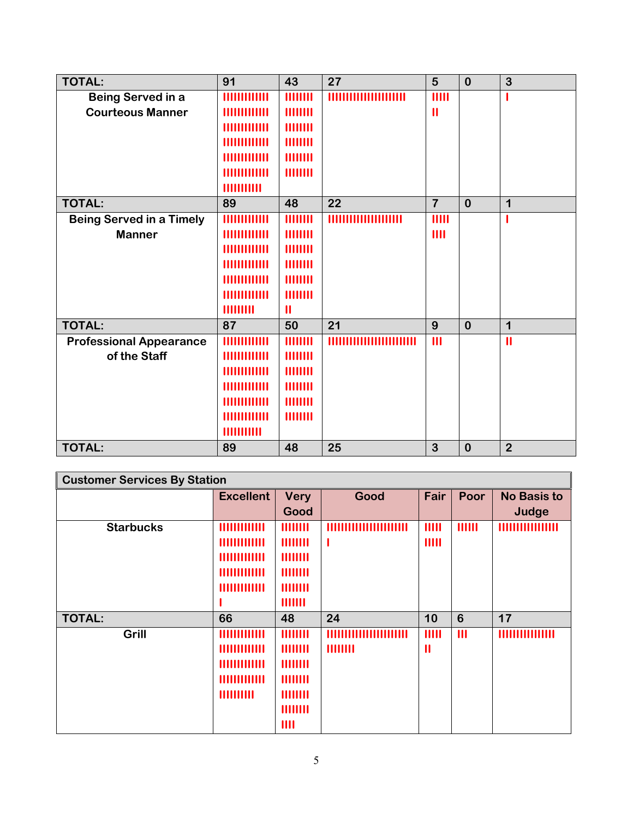| <b>TOTAL:</b>                   | 91                          | 43            | 27                       | 5              | $\mathbf{0}$ | $\overline{3}$ |
|---------------------------------|-----------------------------|---------------|--------------------------|----------------|--------------|----------------|
| Being Served in a               | <b><i>HIIIIIIIIIIII</i></b> | 11111111      |                          | IIIII          |              |                |
| <b>Courteous Manner</b>         | <u>HIIIIIIIIIII</u>         | 11111111      |                          | $\mathbf{II}$  |              |                |
|                                 | 1111111111111               | HIIIIII       |                          |                |              |                |
|                                 | 1111111111111               | 11111111      |                          |                |              |                |
|                                 | 1111111111111               | 11111111      |                          |                |              |                |
|                                 | 1111111111111               | 11111111      |                          |                |              |                |
|                                 | 1111111111                  |               |                          |                |              |                |
| <b>TOTAL:</b>                   | 89                          | 48            | 22                       | $\overline{7}$ | $\mathbf{0}$ | $\mathbf 1$    |
| <b>Being Served in a Timely</b> | <b><i>HIIIIIIIIIIII</i></b> | 11111111      |                          | IIIII          |              |                |
| <b>Manner</b>                   | <b>MUHAMM</b>               | 11111111      |                          | III            |              |                |
|                                 | 111111111111                | 11111111      |                          |                |              |                |
|                                 | <b>HIIIIIIIIII</b>          | 11111111      |                          |                |              |                |
|                                 | 111111111111                | 11111111      |                          |                |              |                |
|                                 | 111111111111                | 11111111      |                          |                |              |                |
|                                 | <b>HIIIIIII</b>             | $\mathbf{II}$ |                          |                |              |                |
| <b>TOTAL:</b>                   | 87                          | 50            | 21                       | 9              | $\bf{0}$     | $\mathbf 1$    |
| <b>Professional Appearance</b>  | <b>HIIIIIIIIIII</b>         | 11111111      | ,,,,,,,,,,,,,,,,,,,,,,,, | $\mathbf{III}$ |              | $\mathbf{II}$  |
| of the Staff                    | <b>MUHIMMI</b>              | 11111111      |                          |                |              |                |
|                                 | <b>HIIIIIIIIIII</b>         | 11111111      |                          |                |              |                |
|                                 | <b>HIIIIIIIIII</b>          | 11111111      |                          |                |              |                |
|                                 | <b>HIIIIIIIIII</b>          | 11111111      |                          |                |              |                |
|                                 | 1111111111111               | 11111111      |                          |                |              |                |
|                                 | 1111111111                  |               |                          |                |              |                |
| <b>TOTAL:</b>                   | 89                          | 48            | 25                       | 3              | $\bf{0}$     | $\overline{2}$ |

| <b>Customer Services By Station</b> |                  |                |          |                       |              |                       |  |
|-------------------------------------|------------------|----------------|----------|-----------------------|--------------|-----------------------|--|
|                                     | <b>Excellent</b> | <b>Very</b>    | Good     | Fair                  | Poor         | <b>No Basis to</b>    |  |
|                                     |                  | Good           |          |                       |              | Judge                 |  |
| <b>Starbucks</b>                    | 1111111111111    | 11111111       |          | IIIII                 | HIIII        |                       |  |
|                                     | 1111111111111    | <b>HIIIIII</b> |          | IIIII                 |              |                       |  |
|                                     | 1111111111111    | <b>HIIIIII</b> |          |                       |              |                       |  |
|                                     | 1111111111111    | 11111111       |          |                       |              |                       |  |
|                                     | 1111111111111    | 11111111       |          |                       |              |                       |  |
|                                     |                  | 111111         |          |                       |              |                       |  |
| <b>TOTAL:</b>                       | 66               | 48             | 24       | 10                    | 6            | 17                    |  |
| Grill                               | 1111111111111    | <b>HIIIIII</b> |          | IIIII                 | $\mathbf{m}$ | <b>HIIIIIIIIIIIII</b> |  |
|                                     | 1111111111111    | 11111111       | 11111111 | $\mathbf{\mathsf{I}}$ |              |                       |  |
|                                     | 1111111111111    | 11111111       |          |                       |              |                       |  |
|                                     | 1111111111111    | <b>HIIIIII</b> |          |                       |              |                       |  |
|                                     | 1111111111       | 11111111       |          |                       |              |                       |  |
|                                     |                  | 11111111       |          |                       |              |                       |  |
|                                     |                  | III            |          |                       |              |                       |  |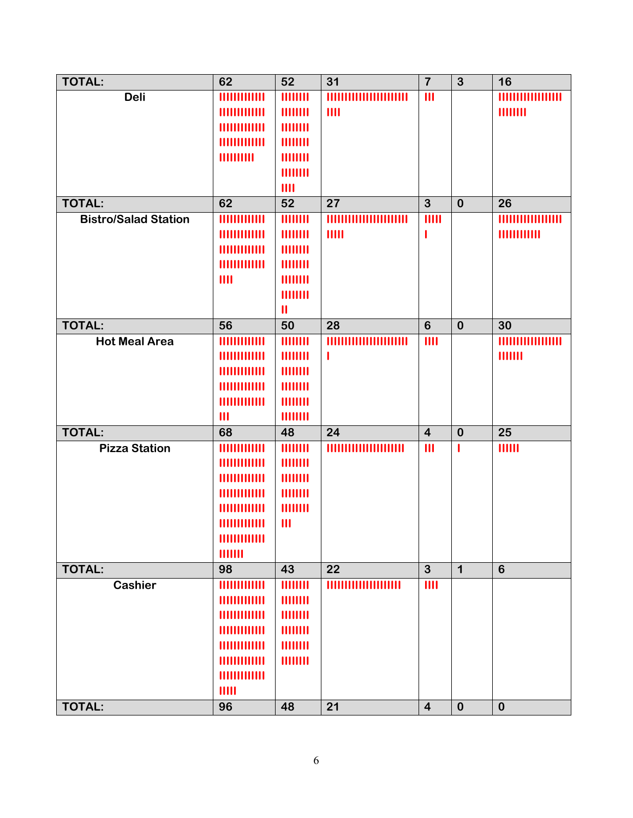| TOTAL:                      | 62                          | 52              | 31    | $\overline{\mathbf{7}}$ | $\mathbf{3}$            | 16             |
|-----------------------------|-----------------------------|-----------------|-------|-------------------------|-------------------------|----------------|
| <b>Deli</b>                 | 1111111111111               | HIIIIII         |       | $\mathbf{III}$          |                         | 1111111111     |
|                             | 111111111111                | HIIIIII         | III   |                         |                         | 11111111       |
|                             | 111111111111                | HIIIIII         |       |                         |                         |                |
|                             | 111111111111                | HIIIIII         |       |                         |                         |                |
|                             | <b>HIIIIIIII</b>            | 11111111        |       |                         |                         |                |
|                             |                             | HIIIIII         |       |                         |                         |                |
|                             |                             | III             |       |                         |                         |                |
| <b>TOTAL:</b>               | 62                          | $\overline{52}$ | 27    | $\overline{3}$          | $\bf{0}$                | 26             |
| <b>Bistro/Salad Station</b> | 111111111111                | HIIIIII         |       | IIIII                   |                         |                |
|                             | 111111111111                | HIIIIII         | IIIII | 1                       |                         | 11111111111    |
|                             | 111111111111                | HIIIIII         |       |                         |                         |                |
|                             | 111111111111                | HIIIIII         |       |                         |                         |                |
|                             | III                         | 11111111        |       |                         |                         |                |
|                             |                             | HIIIIII         |       |                         |                         |                |
|                             |                             | $\mathbf{II}$   |       |                         |                         |                |
| <b>TOTAL:</b>               | 56                          | 50              | 28    | $6\phantom{1}$          | $\mathbf 0$             | 30             |
| <b>Hot Meal Area</b>        |                             | HIIIIII         |       | III                     |                         |                |
|                             | 1111111111111               | HIIIIII         | ı     |                         |                         | 1111111        |
|                             | 111111111111                | HIIIIII         |       |                         |                         |                |
|                             |                             | HIIIIII         |       |                         |                         |                |
|                             | 111111111111                | HIIIIII         |       |                         |                         |                |
|                             | $\mathbf{III}$              | HIIIIII         |       |                         |                         |                |
| <b>TOTAL:</b>               | 68                          | 48              | 24    | $\overline{\mathbf{4}}$ | $\bf{0}$                | 25             |
| <b>Pizza Station</b>        | 111111111111                | HIIIIII         |       | $\mathbf{III}$          | ı                       | 111111         |
|                             | 111111111111                | HIIIIII         |       |                         |                         |                |
|                             | <b><i>HIIIIIIIIIIII</i></b> | HIIIIII         |       |                         |                         |                |
|                             |                             | HIIIIII         |       |                         |                         |                |
|                             | <u>HIIIIIIIIIII</u>         | HIIIIII         |       |                         |                         |                |
|                             | <b><i>HIIIIIIIIIIII</i></b> | $\mathbf{III}$  |       |                         |                         |                |
|                             | 1111111111111               |                 |       |                         |                         |                |
|                             | 1111111                     |                 |       |                         |                         |                |
| <b>TOTAL:</b>               | 98                          | 43              | 22    | $\overline{3}$          | $\overline{\mathbf{1}}$ | $6\phantom{1}$ |
| <b>Cashier</b>              | 111111111111                | HIIIIII         |       | III                     |                         |                |
|                             | 111111111111                | HIIIIII         |       |                         |                         |                |
|                             | 1111111111111               | HIIIIII         |       |                         |                         |                |
|                             | 111111111111                | HIIIIII         |       |                         |                         |                |
|                             | 1111111111111               | HIIIIII         |       |                         |                         |                |
|                             | 1111111111111               | 11111111        |       |                         |                         |                |
|                             | 1111111111111               |                 |       |                         |                         |                |
|                             | IIIII                       |                 |       |                         |                         |                |
| <b>TOTAL:</b>               | 96                          | 48              | 21    | $\overline{\mathbf{4}}$ | $\bf{0}$                | $\bf{0}$       |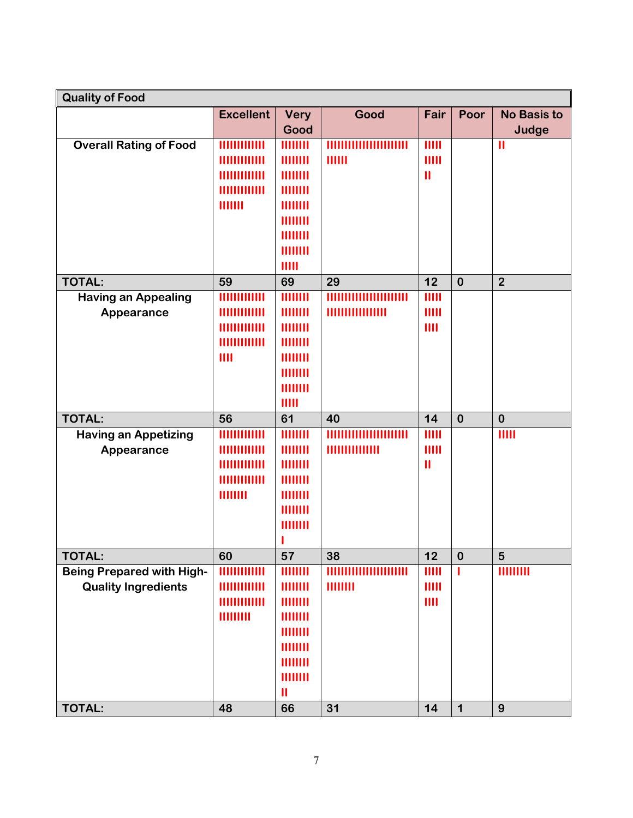| <b>Quality of Food</b>           |                     |                |                |                        |             |                    |
|----------------------------------|---------------------|----------------|----------------|------------------------|-------------|--------------------|
|                                  | <b>Excellent</b>    | <b>Very</b>    | Good           | Fair                   | Poor        | <b>No Basis to</b> |
|                                  |                     | Good           |                |                        |             | Judge              |
| <b>Overall Rating of Food</b>    | 111111111111        | 11111111       |                | IIIII                  |             | $\mathbf{II}$      |
|                                  | 1111111111111       | 11111111       | HIIII          | IIIII                  |             |                    |
|                                  | 111111111111        | HIIIIII        |                | $\mathbf{\mathsf{II}}$ |             |                    |
|                                  | 111111111111        | 11111111       |                |                        |             |                    |
|                                  | 1111111             | 11111111       |                |                        |             |                    |
|                                  |                     | 11111111       |                |                        |             |                    |
|                                  |                     | 11111111       |                |                        |             |                    |
|                                  |                     | <b>HIIIIII</b> |                |                        |             |                    |
|                                  |                     | IIIII          |                |                        |             |                    |
| <b>TOTAL:</b>                    | 59                  | 69             | 29             | 12                     | $\mathbf 0$ | $\overline{2}$     |
| <b>Having an Appealing</b>       | ,,,,,,,,,           | 11111111       |                | 11111                  |             |                    |
| Appearance                       | ,,,,,,,,,,,,,       | 11111111       |                | IIIII                  |             |                    |
|                                  | <u>HIIIIIIIIIII</u> | 11111111       |                | III                    |             |                    |
|                                  | 1111111111111       | 11111111       |                |                        |             |                    |
|                                  | III                 | HIIIIII        |                |                        |             |                    |
|                                  |                     | HIIIIII        |                |                        |             |                    |
|                                  |                     | <b>HIIIIII</b> |                |                        |             |                    |
|                                  |                     | IIII           |                |                        |             |                    |
| <b>TOTAL:</b>                    | 56                  | 61             | 40             | 14                     | $\mathbf 0$ | $\bf{0}$           |
| <b>Having an Appetizing</b>      | 1111111111111       | 11111111       | ''''''''''     | 11111                  |             | IIIII              |
| Appearance                       | <b>HIIIIIIIIII</b>  | HIIIIII        | 11111111111111 | IIIII                  |             |                    |
|                                  | 1111111111111       | 11111111       |                | $\mathbf{II}$          |             |                    |
|                                  | 1111111111111       | 11111111       |                |                        |             |                    |
|                                  | 11111111            | 11111111       |                |                        |             |                    |
|                                  |                     | HIIIIII        |                |                        |             |                    |
|                                  |                     | 11111111       |                |                        |             |                    |
|                                  |                     |                |                |                        |             |                    |
| <b>TOTAL:</b>                    | 60                  | 57             | 38             | 12                     | $\bf{0}$    | 5                  |
| <b>Being Prepared with High-</b> | 111111111111        | 11111111       |                | IIIII                  | ı           | HIHHH              |
| <b>Quality Ingredients</b>       | 111111111111        | 11111111       | HIIIIII        | IIIII                  |             |                    |
|                                  | 1111111111111       | 11111111       |                | III                    |             |                    |
|                                  | 111111111           | HIIIIII        |                |                        |             |                    |
|                                  |                     | 11111111       |                |                        |             |                    |
|                                  |                     | 11111111       |                |                        |             |                    |
|                                  |                     | 11111111       |                |                        |             |                    |
|                                  |                     | 11111111       |                |                        |             |                    |
|                                  |                     | $\mathbf{II}$  |                |                        |             |                    |
| <b>TOTAL:</b>                    | 48                  | 66             | 31             | 14                     | $\mathbf 1$ | 9                  |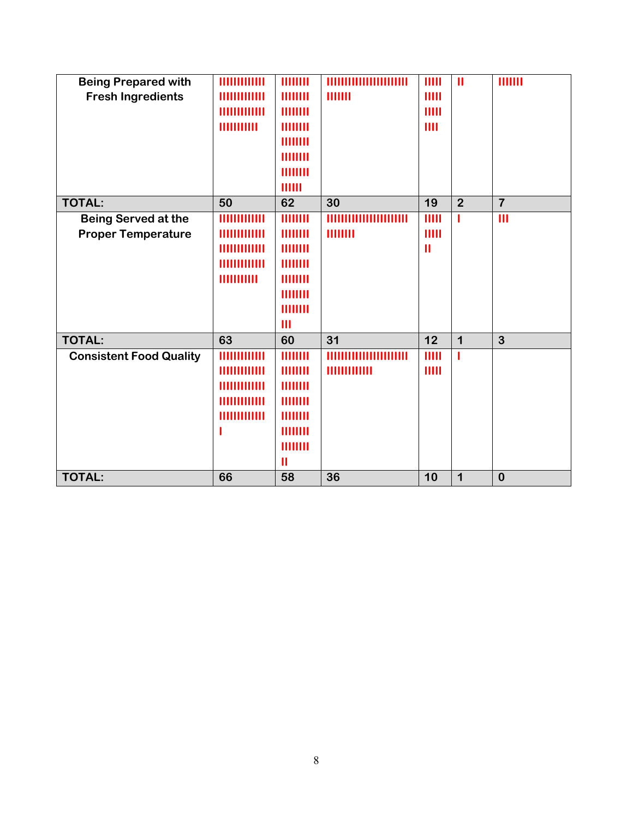| <b>Being Prepared with</b><br><b>Fresh Ingredients</b>  | 111111111111<br>1111111111111<br>HIIIIIIIIIII<br>11111111111                                         | 11111111<br>11111111<br>11111111<br>11111111<br><b>HIIIIII</b><br>11111111<br>11111111<br>111111   | HIIII                             | IIIII<br>IIIII<br>IIIII<br>III           | $\mathbf{\mathsf{II}}$ | 1111111        |
|---------------------------------------------------------|------------------------------------------------------------------------------------------------------|----------------------------------------------------------------------------------------------------|-----------------------------------|------------------------------------------|------------------------|----------------|
| <b>TOTAL:</b>                                           | 50                                                                                                   | 62                                                                                                 | 30                                | 19                                       | $\overline{2}$         | $\overline{7}$ |
| <b>Being Served at the</b><br><b>Proper Temperature</b> | <b>HIIIIIIIIII</b><br><u>HIIIIIIIIIII</u><br>1111111111111<br><b>HIIIIIIIIIII</b><br>11111111111     | 11111111<br>11111111<br>11111111<br>11111111<br>11111111<br>11111111<br>11111111<br>$\mathbf{III}$ | THILL<br>''''''''''<br>11111111   | IIIII<br>IIIII<br>$\mathbf{\mathsf{II}}$ | 1                      | $\mathbf{III}$ |
| <b>TOTAL:</b>                                           | 63                                                                                                   | 60                                                                                                 | 31                                | 12                                       | $\mathbf 1$            | 3              |
| <b>Consistent Food Quality</b>                          | <b><i>HIIIIIIIIIIII</i></b><br>1111111111111<br>1111111111111<br><b>HIIIIIIIIII</b><br>1111111111111 | 11111111<br>HIIIIII<br>11111111<br>11111111<br>11111111<br>11111111<br>11111111<br>$\mathbf{u}$    | ,,,,,,,,,,,,,,,,,<br>111111111111 | IIIII<br>IIIII                           | 1                      |                |
| <b>TOTAL:</b>                                           | 66                                                                                                   | 58                                                                                                 | 36                                | 10                                       | $\mathbf 1$            | $\bf{0}$       |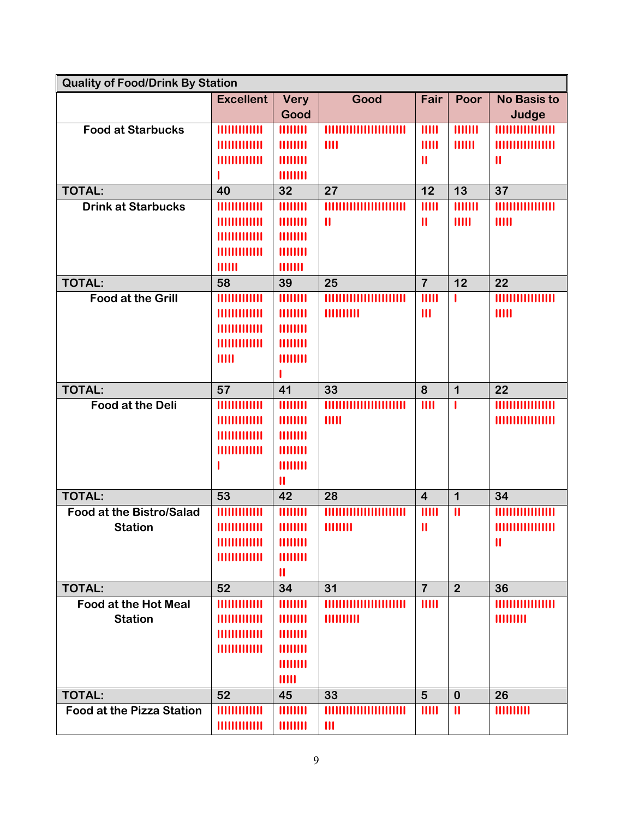| <b>Quality of Food/Drink By Station</b> |                             |               |                         |                         |                |                       |
|-----------------------------------------|-----------------------------|---------------|-------------------------|-------------------------|----------------|-----------------------|
|                                         | <b>Excellent</b>            | <b>Very</b>   | Good                    | Fair                    | Poor           | <b>No Basis to</b>    |
|                                         |                             | Good          |                         |                         |                | Judge                 |
| <b>Food at Starbucks</b>                | <b><i>HIIIIIIIIIIII</i></b> | 11111111      |                         | 11111                   | 1111111        |                       |
|                                         | 1111111111111               | 11111111      | III                     | IIIII                   | 111111         | ,,,,,,,,,,,,          |
|                                         | 1111111111111               | 11111111      |                         | $\mathbf{II}$           |                | $\mathbf{\mathsf{I}}$ |
|                                         |                             | 11111111      |                         |                         |                |                       |
| <b>TOTAL:</b>                           | 40                          | 32            | 27                      | 12                      | 13             | 37                    |
| <b>Drink at Starbucks</b>               | 1111111111111               | 11111111      |                         | 11111                   | HIIIII         |                       |
|                                         | ,,,,,,,,,,,,,               | 11111111      | $\mathbf{\mathsf{I}}$   | $\mathbf{\mathsf{II}}$  | IIIII          | IIIII                 |
|                                         | 1111111111111               | 11111111      |                         |                         |                |                       |
|                                         | 111111111111                | 11111111      |                         |                         |                |                       |
|                                         | 111111                      | 1111111       |                         |                         |                |                       |
| <b>TOTAL:</b>                           | 58                          | 39            | 25                      | $\overline{7}$          | 12             | 22                    |
| <b>Food at the Grill</b>                | 1111111111111               | 11111111      | ,,,,,,,,,,,,,,,,,,,,,,, | $\mathbf{III}$          | ı              |                       |
|                                         | 1111111111111               | 11111111      | 1111111111              | $\mathbf{III}$          |                | IIIII                 |
|                                         | $\frac{1}{2}$               | 11111111      |                         |                         |                |                       |
|                                         | 1111111111111               | 11111111      |                         |                         |                |                       |
|                                         | IIIII                       | 11111111      |                         |                         |                |                       |
|                                         |                             |               |                         |                         |                |                       |
| <b>TOTAL:</b>                           | 57                          | 41            | 33                      | 8                       | $\mathbf 1$    | 22                    |
| <b>Food at the Deli</b>                 | 1111111111111               | HIIIIII       |                         | III                     | $\mathbf{I}$   | <b>HIHHHH</b>         |
|                                         | 1111111111111               | 11111111      | IIIII                   |                         |                |                       |
|                                         | 1111111111111               | 11111111      |                         |                         |                |                       |
|                                         | 1111111111111               | 11111111      |                         |                         |                |                       |
|                                         | ı                           | 11111111      |                         |                         |                |                       |
|                                         |                             | $\mathbf{I}$  |                         |                         |                |                       |
| <b>TOTAL:</b>                           | 53                          | 42            | 28                      | $\overline{\mathbf{4}}$ | $\mathbf 1$    | 34                    |
| <b>Food at the Bistro/Salad</b>         | 111111111111                | HIIIIII       | ,,,,,,,,,,,,,,,,,,,,,,, | IIIII                   | $\mathbf{I}$   | ,,,,,,,,,,,           |
| <b>Station</b>                          | 111111111111                | 11111111      | 11111111                | $\mathbf{\mathsf{II}}$  |                |                       |
|                                         | 111111111111                | 11111111      |                         |                         |                | $\mathbf{II}$         |
|                                         | 1111111111111               | 11111111      |                         |                         |                |                       |
|                                         |                             | $\mathbf{II}$ |                         |                         |                |                       |
| <b>TOTAL:</b>                           | 52                          | 34            | 31                      | $\overline{7}$          | $\overline{2}$ | 36                    |
| <b>Food at the Hot Meal</b>             | 1111111111111               | 11111111      |                         | IIIII                   |                |                       |
| <b>Station</b>                          | 1111111111111               | 11111111      | HIIIIIIII               |                         |                | HIIIIIII              |
|                                         |                             | 11111111      |                         |                         |                |                       |
|                                         |                             | 11111111      |                         |                         |                |                       |
|                                         |                             | 11111111      |                         |                         |                |                       |
|                                         |                             | IIIII         |                         |                         |                |                       |
| <b>TOTAL:</b>                           | 52                          | 45            | 33                      | 5                       | $\bf{0}$       | 26                    |
| <b>Food at the Pizza Station</b>        | <b>THUHHHH</b>              | 11111111      |                         | IIIII                   | $\mathbf{II}$  | THIHHH                |
|                                         | 1111111111111               | 11111111      | $\mathbf{III}$          |                         |                |                       |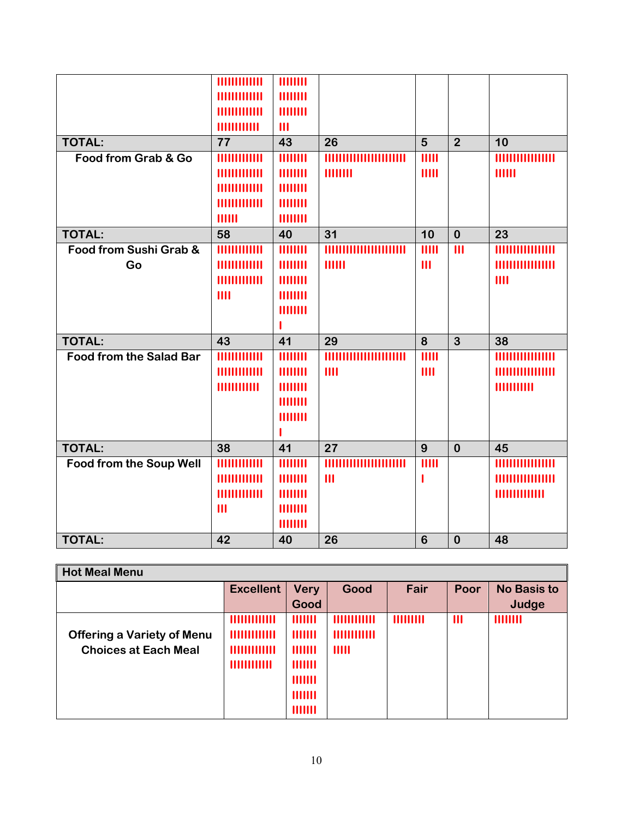|                                | 1111111111111<br>1111111111111<br>111111111111<br>11111111111                 | 11111111<br>11111111<br>11111111<br>$\mathbf{III}$                    |                |                           |                           |                                   |
|--------------------------------|-------------------------------------------------------------------------------|-----------------------------------------------------------------------|----------------|---------------------------|---------------------------|-----------------------------------|
| <b>TOTAL:</b>                  | 77                                                                            | 43                                                                    | 26             | 5                         | $\overline{2}$            | 10                                |
| Food from Grab & Go            | 111111111111<br>1111111111111<br>111111111111<br>1111111111111<br>111111      | 11111111<br>11111111<br>11111111<br>11111111<br>11111111              | HIIIIII        | IIIII<br>IIIII            |                           | <b>HIIIIIIIIIIIIIII</b><br>111111 |
| <b>TOTAL:</b>                  | 58                                                                            | 40                                                                    | 31             | 10                        | $\bf{0}$                  | 23                                |
| Food from Sushi Grab &<br>Go   | <b><i>HIIIIIIIIIIII</i></b><br>111111111111<br>1111111111111<br>III           | 11111111<br>11111111<br>11111111<br>11111111<br>11111111              | 111111         | IIIII<br>$\mathbf{III}$   | $\overline{\mathsf{III}}$ | III                               |
| <b>TOTAL:</b>                  | 43                                                                            | 41                                                                    | 29             | 8                         | $\overline{3}$            | 38                                |
| <b>Food from the Salad Bar</b> | 111111111111<br>1111111111111<br>11111111111                                  | 11111111<br>11111111<br>11111111<br>11111111<br>11111111              | III            | $\overline{11111}$<br>III |                           | 11111111111                       |
| <b>TOTAL:</b>                  | 38                                                                            | 41                                                                    | 27             | 9                         | $\bf{0}$                  | 45                                |
| Food from the Soup Well        | 111111111111<br><b><i>HIIIIIIIIIIII</i></b><br>111111111111<br>$\mathbf{III}$ | $\overline{11111111}$<br>11111111<br>11111111<br>11111111<br>11111111 | $\mathbf{III}$ | $\overline{11111}$        |                           | 1111111111111                     |
| <b>TOTAL:</b>                  | 42                                                                            | 40                                                                    | 26             | $6\phantom{1}6$           | $\bf{0}$                  | 48                                |

| <b>Hot Meal Menu</b>                                             |                                                                    |                                                                          |                                       |           |                         |                             |
|------------------------------------------------------------------|--------------------------------------------------------------------|--------------------------------------------------------------------------|---------------------------------------|-----------|-------------------------|-----------------------------|
|                                                                  | <b>Excellent</b>                                                   | <b>Very</b><br>Good                                                      | Good                                  | Fair      | Poor                    | <b>No Basis to</b><br>Judge |
| <b>Offering a Variety of Menu</b><br><b>Choices at Each Meal</b> | <b>HIIIIIIIIII</b><br>111111111111<br>111111111111<br>111111111111 | 1111111<br>1111111<br>HIIIII<br>1111111<br>1111111<br>1111111<br>1111111 | 111111111111<br>111111111111<br>IIIII | 111111111 | $\mathbf{\mathsf{III}}$ | 11111111                    |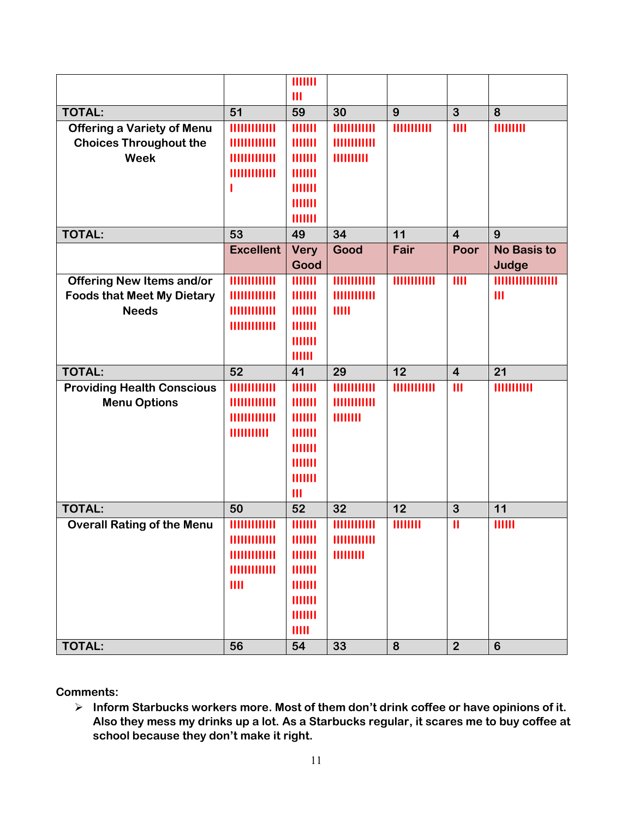|                                   |                     | <b>HIIIII</b>  |              |                  |                         |                    |
|-----------------------------------|---------------------|----------------|--------------|------------------|-------------------------|--------------------|
|                                   |                     | $\mathbf{III}$ |              |                  |                         |                    |
| <b>TOTAL:</b>                     | 51                  | 59             | 30           | 9                | $\mathbf{3}$            | 8                  |
| <b>Offering a Variety of Menu</b> |                     | 1111111        | 111111111111 | <b>THUTHING</b>  | III                     | HIIIIIII           |
| <b>Choices Throughout the</b>     | <b>HIIIIIIIIII</b>  | 1111111        | 111111111111 |                  |                         |                    |
| <b>Week</b>                       | 1111111111111       | 1111111        | HIIIIIIII    |                  |                         |                    |
|                                   | 111111111111        | 1111111        |              |                  |                         |                    |
|                                   |                     | 1111111        |              |                  |                         |                    |
|                                   |                     | 1111111        |              |                  |                         |                    |
|                                   |                     | 1111111        |              |                  |                         |                    |
| <b>TOTAL:</b>                     | 53                  | 49             | 34           | 11               | $\overline{\mathbf{4}}$ | 9                  |
|                                   | <b>Excellent</b>    | <b>Very</b>    | Good         | Fair             | Poor                    | <b>No Basis to</b> |
|                                   |                     | Good           |              |                  |                         | Judge              |
| <b>Offering New Items and/or</b>  | <b>THILITILITI</b>  | HIIIII         | HIIIIIIIIII  | THITIHIII        | III                     | IIIIIIIII          |
| <b>Foods that Meet My Dietary</b> |                     | 1111111        | HIIIIIIIIII  |                  |                         | $\mathbf{III}$     |
| <b>Needs</b>                      | 111111111111        | 1111111        | IIIII        |                  |                         |                    |
|                                   | 111111111111        | 1111111        |              |                  |                         |                    |
|                                   |                     | 1111111        |              |                  |                         |                    |
|                                   |                     | 111111         |              |                  |                         |                    |
|                                   |                     |                |              |                  |                         |                    |
| <b>TOTAL:</b>                     | 52                  | 41             | 29           | 12               | $\overline{\mathbf{4}}$ | 21                 |
| <b>Providing Health Conscious</b> | 111111111111        | HIIIII         | HIIIIIIIIII  | 11111111111      | $\mathbf{III}$          | THUIHIII           |
| <b>Menu Options</b>               | <b>HIIIIIIIIII</b>  | HIIIII         | 111111111111 |                  |                         |                    |
|                                   | <b>HIIIIIIIIIII</b> | 1111111        | 11111111     |                  |                         |                    |
|                                   | 1111111111          | 1111111        |              |                  |                         |                    |
|                                   |                     | 1111111        |              |                  |                         |                    |
|                                   |                     | 1111111        |              |                  |                         |                    |
|                                   |                     | 1111111        |              |                  |                         |                    |
|                                   |                     | $\mathbf{III}$ |              |                  |                         |                    |
| <b>TOTAL:</b>                     | 50                  | 52             | 32           | 12               | $\overline{3}$          | 11                 |
| <b>Overall Rating of the Menu</b> |                     | HIIIII         | HIIIIIIIIII  | HIIIIII          | $\mathbf{II}$           | 111111             |
|                                   | 1111111111111       | 1111111        | THUIHIII     |                  |                         |                    |
|                                   | 111111111111        | 1111111        | HIIIIIII     |                  |                         |                    |
|                                   | 1111111111111       | 1111111        |              |                  |                         |                    |
|                                   | III                 | 1111111        |              |                  |                         |                    |
|                                   |                     | 1111111        |              |                  |                         |                    |
|                                   |                     | 1111111        |              |                  |                         |                    |
| TOTAL:                            | 56                  | IIIII<br>54    | 33           | $\boldsymbol{8}$ | $\overline{2}$          | $6\phantom{1}$     |

**Comments:**

 **Inform Starbucks workers more. Most of them don't drink coffee or have opinions of it. Also they mess my drinks up a lot. As a Starbucks regular, it scares me to buy coffee at school because they don't make it right.**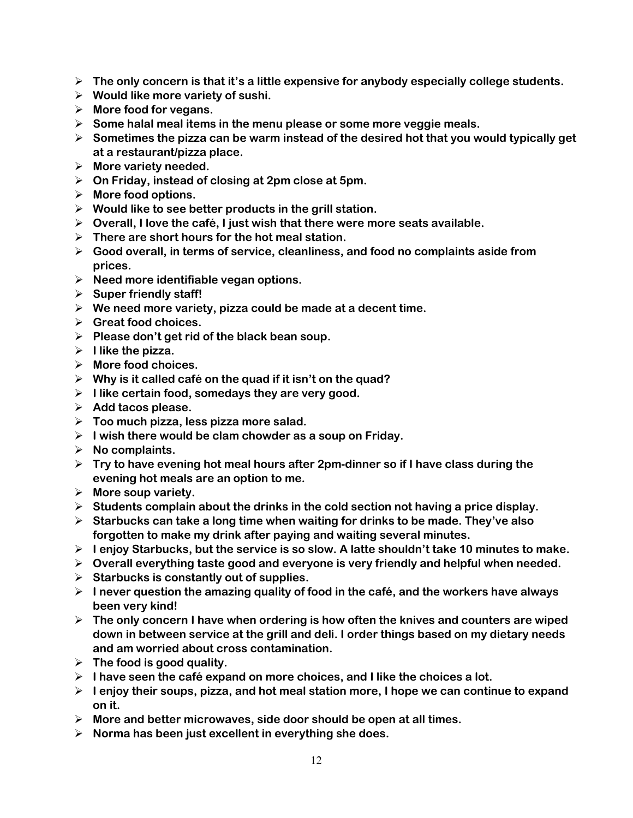- **The only concern is that it's a little expensive for anybody especially college students.**
- **Would like more variety of sushi.**
- **More food for vegans.**
- **Some halal meal items in the menu please or some more veggie meals.**
- **Sometimes the pizza can be warm instead of the desired hot that you would typically get at a restaurant/pizza place.**
- **More variety needed.**
- **On Friday, instead of closing at 2pm close at 5pm.**
- **More food options.**
- **Would like to see better products in the grill station.**
- **Overall, I love the café, I just wish that there were more seats available.**
- **There are short hours for the hot meal station.**
- **Good overall, in terms of service, cleanliness, and food no complaints aside from prices.**
- **Need more identifiable vegan options.**
- **Super friendly staff!**
- **We need more variety, pizza could be made at a decent time.**
- **Great food choices.**
- **Please don't get rid of the black bean soup.**
- **I like the pizza.**
- **More food choices.**
- **Why is it called café on the quad if it isn't on the quad?**
- **I like certain food, somedays they are very good.**
- **Add tacos please.**
- **Too much pizza, less pizza more salad.**
- **I wish there would be clam chowder as a soup on Friday.**
- **No complaints.**
- **Try to have evening hot meal hours after 2pm-dinner so if I have class during the evening hot meals are an option to me.**
- **More soup variety.**
- **Students complain about the drinks in the cold section not having a price display.**
- **Starbucks can take a long time when waiting for drinks to be made. They've also forgotten to make my drink after paying and waiting several minutes.**
- **I enjoy Starbucks, but the service is so slow. A latte shouldn't take 10 minutes to make.**
- **Overall everything taste good and everyone is very friendly and helpful when needed.**
- **Starbucks is constantly out of supplies.**
- $\triangleright$  I never question the amazing quality of food in the café, and the workers have always **been very kind!**
- **The only concern I have when ordering is how often the knives and counters are wiped down in between service at the grill and deli. I order things based on my dietary needs and am worried about cross contamination.**
- **The food is good quality.**
- **I have seen the café expand on more choices, and I like the choices a lot.**
- **I enjoy their soups, pizza, and hot meal station more, I hope we can continue to expand on it.**
- **More and better microwaves, side door should be open at all times.**
- **Norma has been just excellent in everything she does.**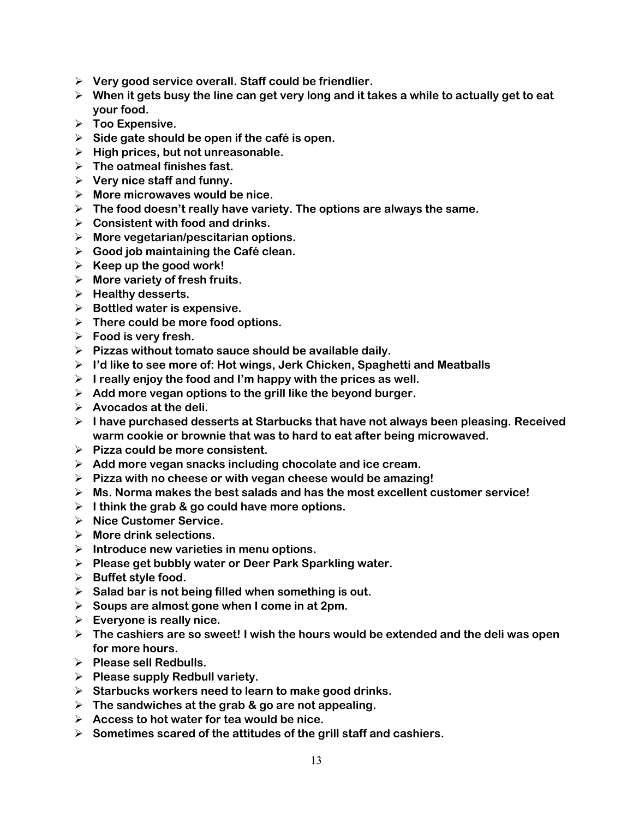- **Very good service overall. Staff could be friendlier.**
- **When it gets busy the line can get very long and it takes a while to actually get to eat your food.**
- **Too Expensive.**
- **Side gate should be open if the café is open.**
- **High prices, but not unreasonable.**
- **The oatmeal finishes fast.**
- **Very nice staff and funny.**
- **More microwaves would be nice.**
- **The food doesn't really have variety. The options are always the same.**
- **Consistent with food and drinks.**
- **More vegetarian/pescitarian options.**
- **Good job maintaining the Café clean.**
- $\triangleright$  Keep up the good work!
- **More variety of fresh fruits.**
- **Healthy desserts.**
- **Bottled water is expensive.**
- **There could be more food options.**
- **Food is very fresh.**
- **Pizzas without tomato sauce should be available daily.**
- **I'd like to see more of: Hot wings, Jerk Chicken, Spaghetti and Meatballs**
- **I really enjoy the food and I'm happy with the prices as well.**
- **Add more vegan options to the grill like the beyond burger.**
- **Avocados at the deli.**
- **I have purchased desserts at Starbucks that have not always been pleasing. Received warm cookie or brownie that was to hard to eat after being microwaved.**
- **Pizza could be more consistent.**
- **Add more vegan snacks including chocolate and ice cream.**
- **Pizza with no cheese or with vegan cheese would be amazing!**
- **Ms. Norma makes the best salads and has the most excellent customer service!**
- **I think the grab & go could have more options.**
- **Nice Customer Service.**
- **More drink selections.**
- **Introduce new varieties in menu options.**
- **Please get bubbly water or Deer Park Sparkling water.**
- **Buffet style food.**
- **Salad bar is not being filled when something is out.**
- **Soups are almost gone when I come in at 2pm.**
- **Everyone is really nice.**
- **The cashiers are so sweet! I wish the hours would be extended and the deli was open for more hours.**
- **Please sell Redbulls.**
- **Please supply Redbull variety.**
- **Starbucks workers need to learn to make good drinks.**
- **The sandwiches at the grab & go are not appealing.**
- **Access to hot water for tea would be nice.**
- **Sometimes scared of the attitudes of the grill staff and cashiers.**